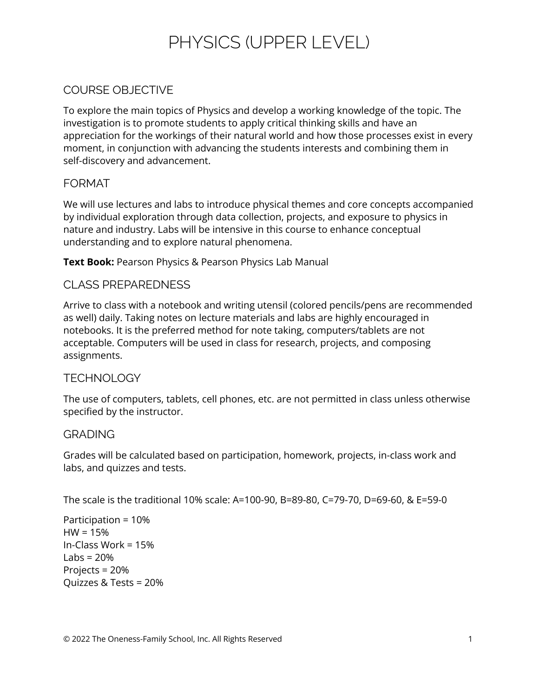# PHYSICS (UPPER LEVEL)

# COURSE OBJECTIVE

To explore the main topics of Physics and develop a working knowledge of the topic. The investigation is to promote students to apply critical thinking skills and have an appreciation for the workings of their natural world and how those processes exist in every moment, in conjunction with advancing the students interests and combining them in self-discovery and advancement.

## FORMAT

We will use lectures and labs to introduce physical themes and core concepts accompanied by individual exploration through data collection, projects, and exposure to physics in nature and industry. Labs will be intensive in this course to enhance conceptual understanding and to explore natural phenomena.

**Text Book:** Pearson Physics & Pearson Physics Lab Manual

## CLASS PREPAREDNESS

Arrive to class with a notebook and writing utensil (colored pencils/pens are recommended as well) daily. Taking notes on lecture materials and labs are highly encouraged in notebooks. It is the preferred method for note taking, computers/tablets are not acceptable. Computers will be used in class for research, projects, and composing assignments.

#### **TECHNOLOGY**

The use of computers, tablets, cell phones, etc. are not permitted in class unless otherwise specified by the instructor.

#### GRADING

Grades will be calculated based on participation, homework, projects, in-class work and labs, and quizzes and tests.

The scale is the traditional 10% scale: A=100-90, B=89-80, C=79-70, D=69-60, & E=59-0

Participation = 10%  $HW = 15%$ In-Class Work = 15% Labs =  $20%$ Projects = 20% Quizzes & Tests = 20%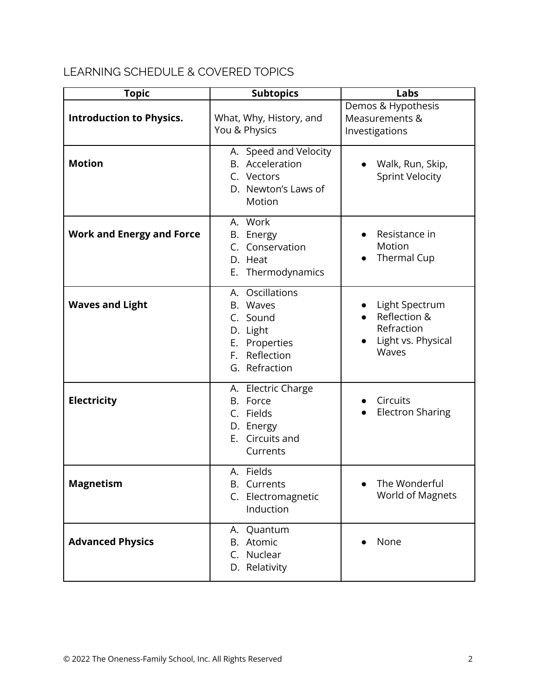# LEARNING SCHEDULE & COVERED TOPICS

| <b>Topic</b>                     | <b>Subtopics</b>                                                                                       | Labs                                                                        |
|----------------------------------|--------------------------------------------------------------------------------------------------------|-----------------------------------------------------------------------------|
| <b>Introduction to Physics.</b>  | What, Why, History, and<br>You & Physics                                                               | Demos & Hypothesis<br>Measurements &<br>Investigations                      |
| <b>Motion</b>                    | A. Speed and Velocity<br>B. Acceleration<br>C. Vectors<br>D. Newton's Laws of<br>Motion                | Walk, Run, Skip,<br><b>Sprint Velocity</b>                                  |
| <b>Work and Energy and Force</b> | A. Work<br>B. Energy<br>C. Conservation<br>D. Heat<br>E. Thermodynamics                                | Resistance in<br>Motion<br>Thermal Cup                                      |
| <b>Waves and Light</b>           | A. Oscillations<br>B. Waves<br>C. Sound<br>D. Light<br>E. Properties<br>F. Reflection<br>G. Refraction | Light Spectrum<br>Reflection &<br>Refraction<br>Light vs. Physical<br>Waves |
| <b>Electricity</b>               | A. Electric Charge<br>B. Force<br>C. Fields<br>D. Energy<br>E. Circuits and<br>Currents                | Circuits<br><b>Electron Sharing</b>                                         |
| <b>Magnetism</b>                 | A. Fields<br><b>B.</b> Currents<br>C. Electromagnetic<br>Induction                                     | The Wonderful<br>$\bullet$<br><b>World of Magnets</b>                       |
| <b>Advanced Physics</b>          | A. Quantum<br>B. Atomic<br>C. Nuclear<br>D. Relativity                                                 | None                                                                        |